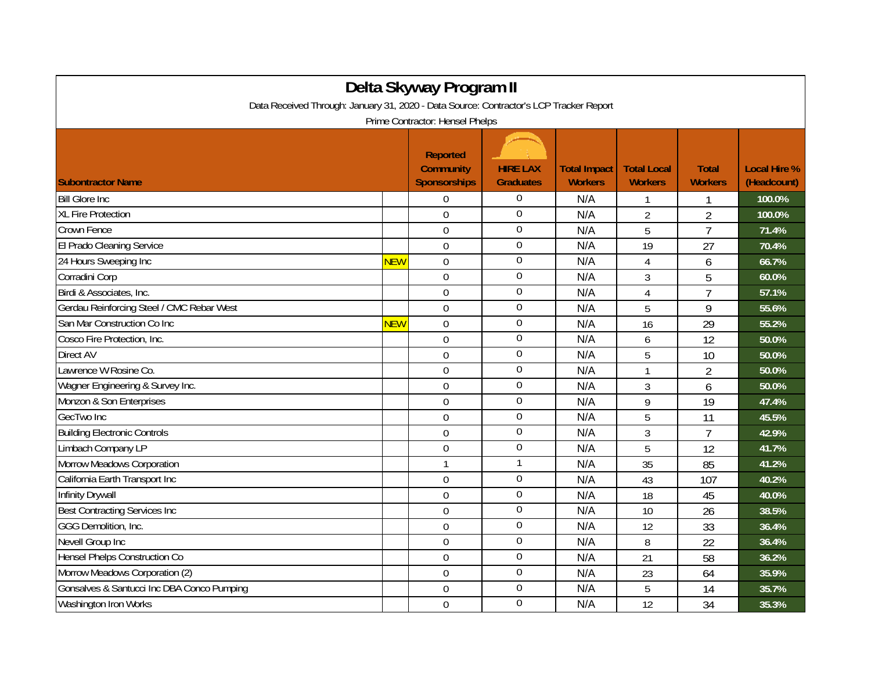| Delta Skyway Program II                                                                |            |                                                            |                                     |                                       |                                      |                                |                                    |  |  |
|----------------------------------------------------------------------------------------|------------|------------------------------------------------------------|-------------------------------------|---------------------------------------|--------------------------------------|--------------------------------|------------------------------------|--|--|
| Data Received Through: January 31, 2020 - Data Source: Contractor's LCP Tracker Report |            |                                                            |                                     |                                       |                                      |                                |                                    |  |  |
| Prime Contractor: Hensel Phelps                                                        |            |                                                            |                                     |                                       |                                      |                                |                                    |  |  |
| <b>Subontractor Name</b>                                                               |            | <b>Reported</b><br><b>Community</b><br><b>Sponsorships</b> | <b>HIRE LAX</b><br><b>Graduates</b> | <b>Total Impact</b><br><b>Workers</b> | <b>Total Local</b><br><b>Workers</b> | <b>Total</b><br><b>Workers</b> | <b>Local Hire %</b><br>(Headcount) |  |  |
| <b>Bill Glore Inc</b>                                                                  |            | 0                                                          | $\boldsymbol{0}$                    | N/A                                   |                                      |                                | 100.0%                             |  |  |
| <b>XL Fire Protection</b>                                                              |            | $\mathbf 0$                                                | $\boldsymbol{0}$                    | N/A                                   | $\overline{2}$                       | $\overline{2}$                 | 100.0%                             |  |  |
| Crown Fence                                                                            |            | $\overline{0}$                                             | $\mathbf 0$                         | N/A                                   | 5                                    | $\overline{7}$                 | 71.4%                              |  |  |
| El Prado Cleaning Service                                                              |            | $\overline{0}$                                             | $\overline{0}$                      | N/A                                   | 19                                   | $\overline{27}$                | 70.4%                              |  |  |
| 24 Hours Sweeping Inc                                                                  | <b>NEW</b> | $\mathbf 0$                                                | $\mathbf 0$                         | N/A                                   | $\overline{4}$                       | 6                              | 66.7%                              |  |  |
| Corradini Corp                                                                         |            | $\mathbf 0$                                                | $\overline{0}$                      | N/A                                   | 3                                    | 5                              | 60.0%                              |  |  |
| Birdi & Associates, Inc.                                                               |            | $\mathbf 0$                                                | $\boldsymbol{0}$                    | N/A                                   | $\overline{4}$                       | $\overline{1}$                 | 57.1%                              |  |  |
| Gerdau Reinforcing Steel / CMC Rebar West                                              |            | $\overline{0}$                                             | $\overline{0}$                      | N/A                                   | 5                                    | 9                              | 55.6%                              |  |  |
| San Mar Construction Co Inc                                                            | <b>NEW</b> | $\Omega$                                                   | $\mathbf 0$                         | N/A                                   | 16                                   | 29                             | 55.2%                              |  |  |
| Cosco Fire Protection, Inc.                                                            |            | $\mathbf 0$                                                | $\mathbf 0$                         | N/A                                   | 6                                    | 12                             | 50.0%                              |  |  |
| <b>Direct AV</b>                                                                       |            | $\mathbf 0$                                                | $\boldsymbol{0}$                    | N/A                                   | 5                                    | 10                             | 50.0%                              |  |  |
| Lawrence W Rosine Co.                                                                  |            | $\overline{0}$                                             | $\boldsymbol{0}$                    | N/A                                   | 1                                    | $\overline{2}$                 | 50.0%                              |  |  |
| Wagner Engineering & Survey Inc.                                                       |            | $\overline{0}$                                             | $\boldsymbol{0}$                    | N/A                                   | 3                                    | 6                              | 50.0%                              |  |  |
| Monzon & Son Enterprises                                                               |            | $\Omega$                                                   | $\boldsymbol{0}$                    | N/A                                   | 9                                    | 19                             | 47.4%                              |  |  |
| GecTwo Inc                                                                             |            | $\overline{0}$                                             | $\mathbf 0$                         | N/A                                   | 5                                    | 11                             | 45.5%                              |  |  |
| <b>Building Electronic Controls</b>                                                    |            | $\overline{0}$                                             | $\boldsymbol{0}$                    | N/A                                   | $\overline{3}$                       | $\overline{7}$                 | 42.9%                              |  |  |
| Limbach Company LP                                                                     |            | $\mathbf 0$                                                | $\overline{0}$                      | N/A                                   | 5                                    | 12                             | 41.7%                              |  |  |
| <b>Morrow Meadows Corporation</b>                                                      |            | $\mathbf{1}$                                               | $\mathbf{1}$                        | N/A                                   | 35                                   | 85                             | 41.2%                              |  |  |
| California Earth Transport Inc                                                         |            | $\overline{0}$                                             | $\mathbf 0$                         | N/A                                   | 43                                   | 107                            | 40.2%                              |  |  |
| Infinity Drywall                                                                       |            | $\overline{0}$                                             | $\overline{0}$                      | N/A                                   | 18                                   | 45                             | 40.0%                              |  |  |
| <b>Best Contracting Services Inc</b>                                                   |            | $\mathbf 0$                                                | $\boldsymbol{0}$                    | N/A                                   | 10                                   | 26                             | 38.5%                              |  |  |
| GGG Demolition, Inc.                                                                   |            | $\mathbf 0$                                                | $\boldsymbol{0}$                    | N/A                                   | 12                                   | 33                             | 36.4%                              |  |  |
| Nevell Group Inc                                                                       |            | $\mathbf 0$                                                | $\boldsymbol{0}$                    | N/A                                   | 8                                    | 22                             | 36.4%                              |  |  |
| <b>Hensel Phelps Construction Co</b>                                                   |            | $\Omega$                                                   | $\overline{0}$                      | N/A                                   | 21                                   | 58                             | 36.2%                              |  |  |
| Morrow Meadows Corporation (2)                                                         |            | $\overline{0}$                                             | $\mathbf 0$                         | N/A                                   | 23                                   | 64                             | 35.9%                              |  |  |
| Gonsalves & Santucci Inc DBA Conco Pumping                                             |            | $\overline{0}$                                             | $\boldsymbol{0}$                    | N/A                                   | 5                                    | 14                             | 35.7%                              |  |  |
| Washington Iron Works                                                                  |            | $\mathbf 0$                                                | $\boldsymbol{0}$                    | N/A                                   | 12                                   | 34                             | 35.3%                              |  |  |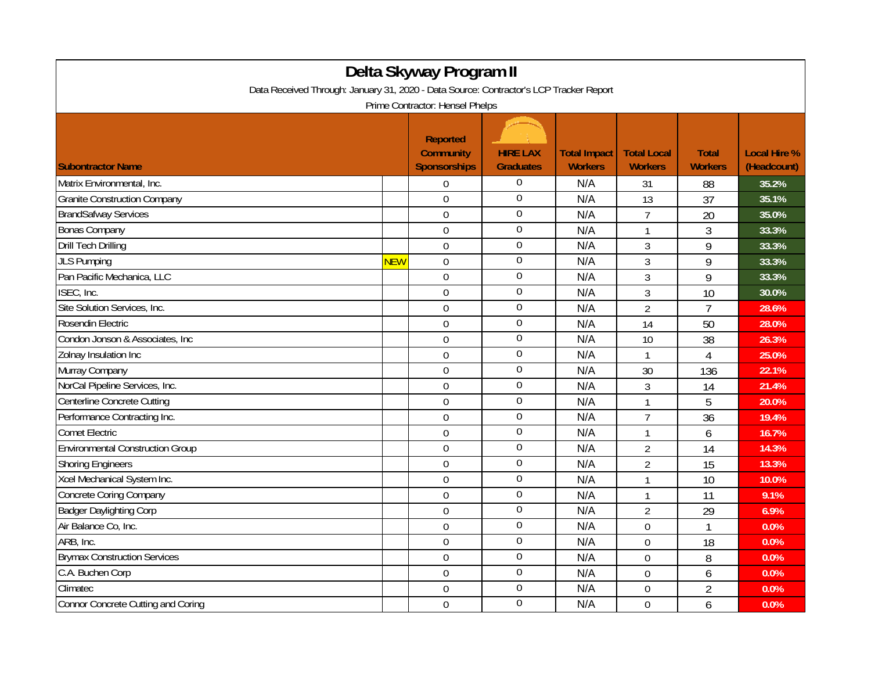| Delta Skyway Program II                                                                                                   |            |                                                            |                                     |                                       |                                      |                                |                                    |  |  |
|---------------------------------------------------------------------------------------------------------------------------|------------|------------------------------------------------------------|-------------------------------------|---------------------------------------|--------------------------------------|--------------------------------|------------------------------------|--|--|
| Data Received Through: January 31, 2020 - Data Source: Contractor's LCP Tracker Report<br>Prime Contractor: Hensel Phelps |            |                                                            |                                     |                                       |                                      |                                |                                    |  |  |
| <b>Subontractor Name</b>                                                                                                  |            | <b>Reported</b><br><b>Community</b><br><b>Sponsorships</b> | <b>HIRE LAX</b><br><b>Graduates</b> | <b>Total Impact</b><br><b>Workers</b> | <b>Total Local</b><br><b>Workers</b> | <b>Total</b><br><b>Workers</b> | <b>Local Hire %</b><br>(Headcount) |  |  |
| Matrix Environmental, Inc.                                                                                                |            | $\Omega$                                                   | $\mathbf{0}$                        | N/A                                   | 31                                   | 88                             | 35.2%                              |  |  |
| <b>Granite Construction Company</b>                                                                                       |            | $\boldsymbol{0}$                                           | $\mathbf 0$                         | N/A                                   | 13                                   | 37                             | 35.1%                              |  |  |
| <b>BrandSafway Services</b>                                                                                               |            | $\overline{0}$                                             | $\boldsymbol{0}$                    | N/A                                   | $\overline{7}$                       | 20                             | 35.0%                              |  |  |
| Bonas Company                                                                                                             |            | $\mathbf 0$                                                | $\mathbf 0$                         | N/A                                   | $\mathbf{1}$                         | 3                              | 33.3%                              |  |  |
| <b>Drill Tech Drilling</b>                                                                                                |            | $\overline{0}$                                             | $\overline{0}$                      | N/A                                   | 3                                    | 9                              | 33.3%                              |  |  |
| <b>JLS Pumping</b>                                                                                                        | <b>NEW</b> | $\mathbf 0$                                                | $\mathbf 0$                         | N/A                                   | 3                                    | 9                              | 33.3%                              |  |  |
| Pan Pacific Mechanica, LLC                                                                                                |            | $\boldsymbol{0}$                                           | $\bf{0}$                            | N/A                                   | 3                                    | 9                              | 33.3%                              |  |  |
| ISEC, Inc.                                                                                                                |            | $\overline{0}$                                             | $\boldsymbol{0}$                    | N/A                                   | 3                                    | 10                             | 30.0%                              |  |  |
| Site Solution Services, Inc.                                                                                              |            | $\overline{0}$                                             | $\boldsymbol{0}$                    | N/A                                   | $\overline{2}$                       | $\overline{7}$                 | 28.6%                              |  |  |
| Rosendin Electric                                                                                                         |            | $\mathbf 0$                                                | $\overline{0}$                      | N/A                                   | 14                                   | 50                             | 28.0%                              |  |  |
| Condon Jonson & Associates, Inc.                                                                                          |            | $\overline{0}$                                             | $\mathbf 0$                         | N/A                                   | 10                                   | 38                             | 26.3%                              |  |  |
| Zolnay Insulation Inc                                                                                                     |            | $\boldsymbol{0}$                                           | $\boldsymbol{0}$                    | N/A                                   | $\mathbf{1}$                         | 4                              | 25.0%                              |  |  |
| Murray Company                                                                                                            |            | $\overline{0}$                                             | $\boldsymbol{0}$                    | N/A                                   | 30                                   | 136                            | 22.1%                              |  |  |
| NorCal Pipeline Services, Inc.                                                                                            |            | $\overline{0}$                                             | $\boldsymbol{0}$                    | N/A                                   | 3                                    | 14                             | 21.4%                              |  |  |
| Centerline Concrete Cutting                                                                                               |            | $\mathbf 0$                                                | $\boldsymbol{0}$                    | N/A                                   | $\mathbf{1}$                         | 5                              | 20.0%                              |  |  |
| Performance Contracting Inc.                                                                                              |            | $\mathbf 0$                                                | $\boldsymbol{0}$                    | N/A                                   | $\overline{7}$                       | 36                             | 19.4%                              |  |  |
| <b>Comet Electric</b>                                                                                                     |            | $\mathbf 0$                                                | $\pmb{0}$                           | N/A                                   | $\mathbf{1}$                         | 6                              | 16.7%                              |  |  |
| <b>Environmental Construction Group</b>                                                                                   |            | $\overline{0}$                                             | $\pmb{0}$                           | N/A                                   | $\overline{2}$                       | 14                             | 14.3%                              |  |  |
| <b>Shoring Engineers</b>                                                                                                  |            | $\mathbf 0$                                                | $\boldsymbol{0}$                    | N/A                                   | $\overline{2}$                       | 15                             | 13.3%                              |  |  |
| Xcel Mechanical System Inc.                                                                                               |            | $\boldsymbol{0}$                                           | $\boldsymbol{0}$                    | N/A                                   | 1                                    | 10                             | 10.0%                              |  |  |
| Concrete Coring Company                                                                                                   |            | $\overline{0}$                                             | $\overline{0}$                      | N/A                                   | $\mathbf{1}$                         | 11                             | 9.1%                               |  |  |
| <b>Badger Daylighting Corp</b>                                                                                            |            | $\overline{0}$                                             | $\boldsymbol{0}$                    | N/A                                   | $\overline{2}$                       | 29                             | 6.9%                               |  |  |
| Air Balance Co, Inc.                                                                                                      |            | $\overline{0}$                                             | $\boldsymbol{0}$                    | N/A                                   | 0                                    | $\mathbf{1}$                   | 0.0%                               |  |  |
| ARB, Inc.                                                                                                                 |            | $\mathbf 0$                                                | $\mathbf 0$                         | N/A                                   | $\overline{0}$                       | 18                             | 0.0%                               |  |  |
| <b>Brymax Construction Services</b>                                                                                       |            | $\boldsymbol{0}$                                           | $\overline{0}$                      | N/A                                   | $\overline{0}$                       | 8                              | 0.0%                               |  |  |
| C.A. Buchen Corp                                                                                                          |            | $\mathbf 0$                                                | $\overline{0}$                      | N/A                                   | $\overline{0}$                       | 6                              | 0.0%                               |  |  |
| Climatec                                                                                                                  |            | $\overline{0}$                                             | $\overline{0}$                      | N/A                                   | 0                                    | $\overline{2}$                 | 0.0%                               |  |  |
| Connor Concrete Cutting and Coring                                                                                        |            | $\mathbf 0$                                                | $\mathbf{0}$                        | N/A                                   | 0                                    | 6                              | 0.0%                               |  |  |